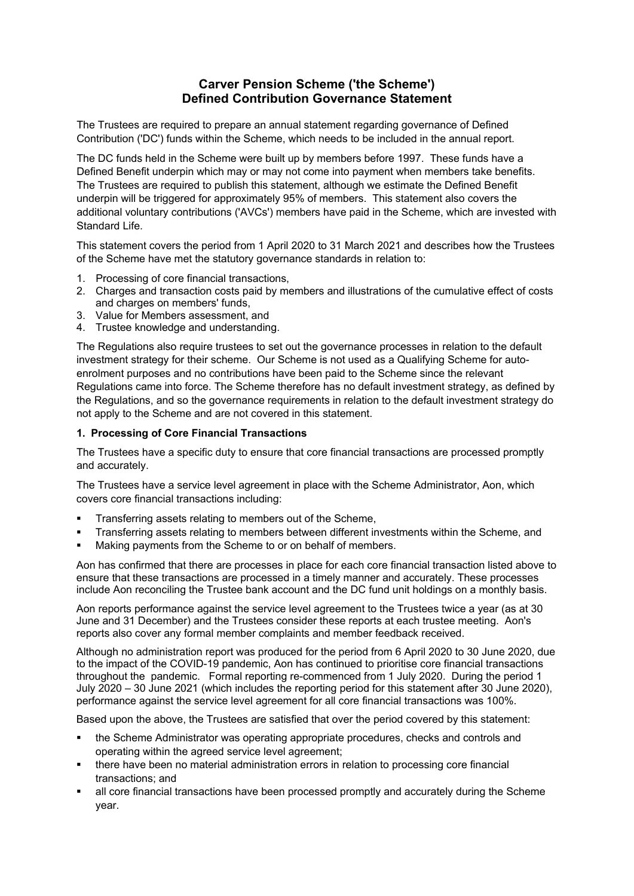# **Carver Pension Scheme ('the Scheme') Defined Contribution Governance Statement**

The Trustees are required to prepare an annual statement regarding governance of Defined Contribution ('DC') funds within the Scheme, which needs to be included in the annual report.

The DC funds held in the Scheme were built up by members before 1997. These funds have a Defined Benefit underpin which may or may not come into payment when members take benefits. The Trustees are required to publish this statement, although we estimate the Defined Benefit underpin will be triggered for approximately 95% of members. This statement also covers the additional voluntary contributions ('AVCs') members have paid in the Scheme, which are invested with Standard Life.

This statement covers the period from 1 April 2020 to 31 March 2021 and describes how the Trustees of the Scheme have met the statutory governance standards in relation to:

- 1. Processing of core financial transactions,
- 2. Charges and transaction costs paid by members and illustrations of the cumulative effect of costs and charges on members' funds,
- 3. Value for Members assessment, and
- 4. Trustee knowledge and understanding.

The Regulations also require trustees to set out the governance processes in relation to the default investment strategy for their scheme. Our Scheme is not used as a Qualifying Scheme for autoenrolment purposes and no contributions have been paid to the Scheme since the relevant Regulations came into force. The Scheme therefore has no default investment strategy, as defined by the Regulations, and so the governance requirements in relation to the default investment strategy do not apply to the Scheme and are not covered in this statement.

# **1. Processing of Core Financial Transactions**

The Trustees have a specific duty to ensure that core financial transactions are processed promptly and accurately.

The Trustees have a service level agreement in place with the Scheme Administrator, Aon, which covers core financial transactions including:

- Transferring assets relating to members out of the Scheme,
- Transferring assets relating to members between different investments within the Scheme, and
- Making payments from the Scheme to or on behalf of members.

Aon has confirmed that there are processes in place for each core financial transaction listed above to ensure that these transactions are processed in a timely manner and accurately. These processes include Aon reconciling the Trustee bank account and the DC fund unit holdings on a monthly basis.

Aon reports performance against the service level agreement to the Trustees twice a year (as at 30 June and 31 December) and the Trustees consider these reports at each trustee meeting. Aon's reports also cover any formal member complaints and member feedback received.

Although no administration report was produced for the period from 6 April 2020 to 30 June 2020, due to the impact of the COVID-19 pandemic, Aon has continued to prioritise core financial transactions throughout the pandemic. Formal reporting re-commenced from 1 July 2020. During the period 1 July 2020 – 30 June 2021 (which includes the reporting period for this statement after 30 June 2020), performance against the service level agreement for all core financial transactions was 100%.

Based upon the above, the Trustees are satisfied that over the period covered by this statement:

- the Scheme Administrator was operating appropriate procedures, checks and controls and operating within the agreed service level agreement;
- there have been no material administration errors in relation to processing core financial transactions; and
- all core financial transactions have been processed promptly and accurately during the Scheme year.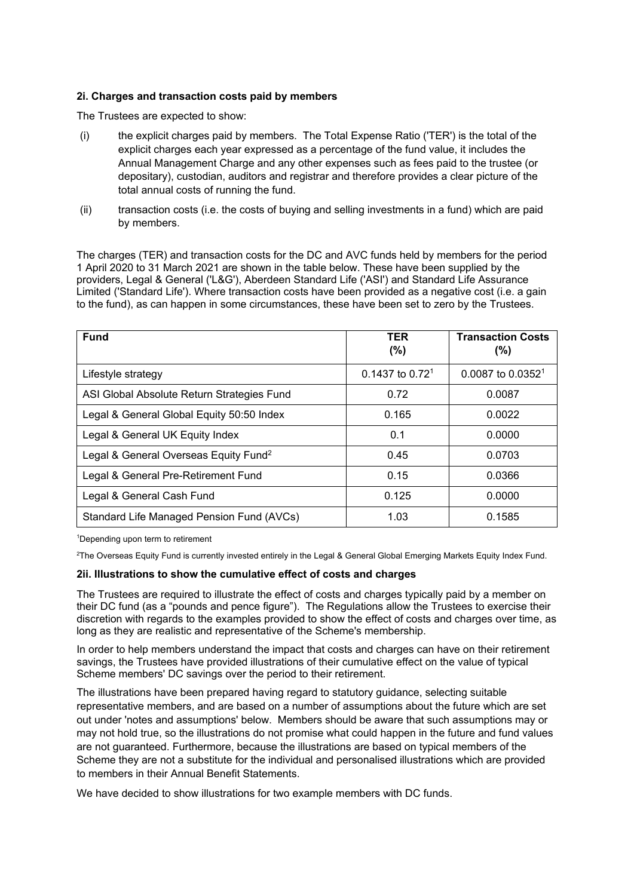# **2i. Charges and transaction costs paid by members**

The Trustees are expected to show:

- (i) the explicit charges paid by members. The Total Expense Ratio ('TER') is the total of the explicit charges each year expressed as a percentage of the fund value, it includes the Annual Management Charge and any other expenses such as fees paid to the trustee (or depositary), custodian, auditors and registrar and therefore provides a clear picture of the total annual costs of running the fund.
- (ii) transaction costs (i.e. the costs of buying and selling investments in a fund) which are paid by members.

The charges (TER) and transaction costs for the DC and AVC funds held by members for the period 1 April 2020 to 31 March 2021 are shown in the table below. These have been supplied by the providers, Legal & General ('L&G'), Aberdeen Standard Life ('ASI') and Standard Life Assurance Limited ('Standard Life'). Where transaction costs have been provided as a negative cost (i.e. a gain to the fund), as can happen in some circumstances, these have been set to zero by the Trustees.

| <b>Fund</b>                                       | <b>TER</b><br>(%) | <b>Transaction Costs</b><br>(%) |
|---------------------------------------------------|-------------------|---------------------------------|
| Lifestyle strategy                                | 0.1437 to $0.721$ | $0.0087$ to $0.03521$           |
| ASI Global Absolute Return Strategies Fund        | 0.72              | 0.0087                          |
| Legal & General Global Equity 50:50 Index         | 0.165             | 0.0022                          |
| Legal & General UK Equity Index                   | 0.1               | 0.0000                          |
| Legal & General Overseas Equity Fund <sup>2</sup> | 0.45              | 0.0703                          |
| Legal & General Pre-Retirement Fund               | 0.15              | 0.0366                          |
| Legal & General Cash Fund                         | 0.125             | 0.0000                          |
| Standard Life Managed Pension Fund (AVCs)         | 1.03              | 0.1585                          |

1 Depending upon term to retirement

2 The Overseas Equity Fund is currently invested entirely in the Legal & General Global Emerging Markets Equity Index Fund.

#### **2ii. Illustrations to show the cumulative effect of costs and charges**

The Trustees are required to illustrate the effect of costs and charges typically paid by a member on their DC fund (as a "pounds and pence figure"). The Regulations allow the Trustees to exercise their discretion with regards to the examples provided to show the effect of costs and charges over time, as long as they are realistic and representative of the Scheme's membership.

In order to help members understand the impact that costs and charges can have on their retirement savings, the Trustees have provided illustrations of their cumulative effect on the value of typical Scheme members' DC savings over the period to their retirement.

The illustrations have been prepared having regard to statutory guidance, selecting suitable representative members, and are based on a number of assumptions about the future which are set out under 'notes and assumptions' below. Members should be aware that such assumptions may or may not hold true, so the illustrations do not promise what could happen in the future and fund values are not guaranteed. Furthermore, because the illustrations are based on typical members of the Scheme they are not a substitute for the individual and personalised illustrations which are provided to members in their Annual Benefit Statements.

We have decided to show illustrations for two example members with DC funds.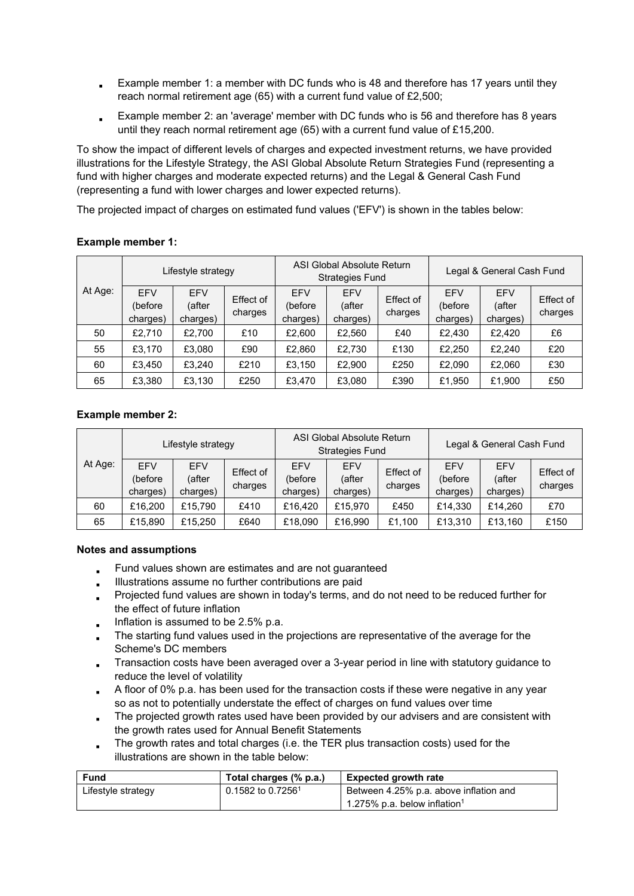- Example member 1: a member with DC funds who is 48 and therefore has 17 years until they reach normal retirement age (65) with a current fund value of £2,500;
- Example member 2: an 'average' member with DC funds who is 56 and therefore has 8 years until they reach normal retirement age (65) with a current fund value of £15,200.

To show the impact of different levels of charges and expected investment returns, we have provided illustrations for the Lifestyle Strategy, the ASI Global Absolute Return Strategies Fund (representing a fund with higher charges and moderate expected returns) and the Legal & General Cash Fund (representing a fund with lower charges and lower expected returns).

The projected impact of charges on estimated fund values ('EFV') is shown in the tables below:

# **Example member 1:**

|         | Lifestyle strategy                |                                  | ASI Global Absolute Return<br><b>Strategies Fund</b> |                            |                           | Legal & General Cash Fund |                            |                                  |                      |
|---------|-----------------------------------|----------------------------------|------------------------------------------------------|----------------------------|---------------------------|---------------------------|----------------------------|----------------------------------|----------------------|
| At Age: | <b>EFV</b><br>(before<br>charges) | <b>EFV</b><br>(after<br>charges) | Effect of<br>charges                                 | EFV<br>(before<br>charges) | EFV<br>(after<br>charges) | Effect of<br>charges      | EFV<br>(before<br>charges) | <b>EFV</b><br>(after<br>charges) | Effect of<br>charges |
| 50      | £2,710                            | £2,700                           | £10                                                  | £2,600                     | £2,560                    | £40                       | £2,430                     | £2,420                           | £6                   |
| 55      | £3,170                            | £3,080                           | £90                                                  | £2,860                     | £2,730                    | £130                      | £2,250                     | £2,240                           | £20                  |
| 60      | £3.450                            | £3.240                           | £210                                                 | £3,150                     | £2.900                    | £250                      | £2,090                     | £2,060                           | £30                  |
| 65      | £3,380                            | £3,130                           | £250                                                 | £3,470                     | £3,080                    | £390                      | £1,950                     | £1,900                           | £50                  |

# **Example member 2:**

|         | Lifestyle strategy                |                                  | ASI Global Absolute Return<br><b>Strategies Fund</b> |                                    |                                  | Legal & General Cash Fund |                                   |                                  |                      |
|---------|-----------------------------------|----------------------------------|------------------------------------------------------|------------------------------------|----------------------------------|---------------------------|-----------------------------------|----------------------------------|----------------------|
| At Age: | <b>FFV</b><br>(before<br>charges) | <b>FFV</b><br>(after<br>charges) | Effect of<br>charges                                 | <b>FFV</b><br>(before)<br>charges) | <b>EFV</b><br>(after<br>charges) | Effect of<br>charges      | <b>FFV</b><br>(before<br>charges) | <b>EFV</b><br>(after<br>charges) | Effect of<br>charges |
| 60      | £16,200                           | £15,790                          | £410                                                 | £16.420                            | £15,970                          | £450                      | £14,330                           | £14,260                          | £70                  |
| 65      | £15,890                           | £15,250                          | £640                                                 | £18,090                            | £16,990                          | £1,100                    | £13,310                           | £13,160                          | £150                 |

# **Notes and assumptions**

- Fund values shown are estimates and are not guaranteed
- Illustrations assume no further contributions are paid
- Projected fund values are shown in today's terms, and do not need to be reduced further for the effect of future inflation
- Inflation is assumed to be 2.5% p.a.
- The starting fund values used in the projections are representative of the average for the Scheme's DC members
- Transaction costs have been averaged over a 3-year period in line with statutory guidance to reduce the level of volatility
- A floor of 0% p.a. has been used for the transaction costs if these were negative in any year so as not to potentially understate the effect of charges on fund values over time
- The projected growth rates used have been provided by our advisers and are consistent with the growth rates used for Annual Benefit Statements
- The growth rates and total charges (i.e. the TER plus transaction costs) used for the illustrations are shown in the table below:

| <b>Fund</b>        | Total charges (% p.a.)        | <b>Expected growth rate</b>              |
|--------------------|-------------------------------|------------------------------------------|
| Lifestyle strategy | 0.1582 to 0.7256 <sup>1</sup> | Between 4.25% p.a. above inflation and   |
|                    |                               | 1.275% p.a. below inflation <sup>1</sup> |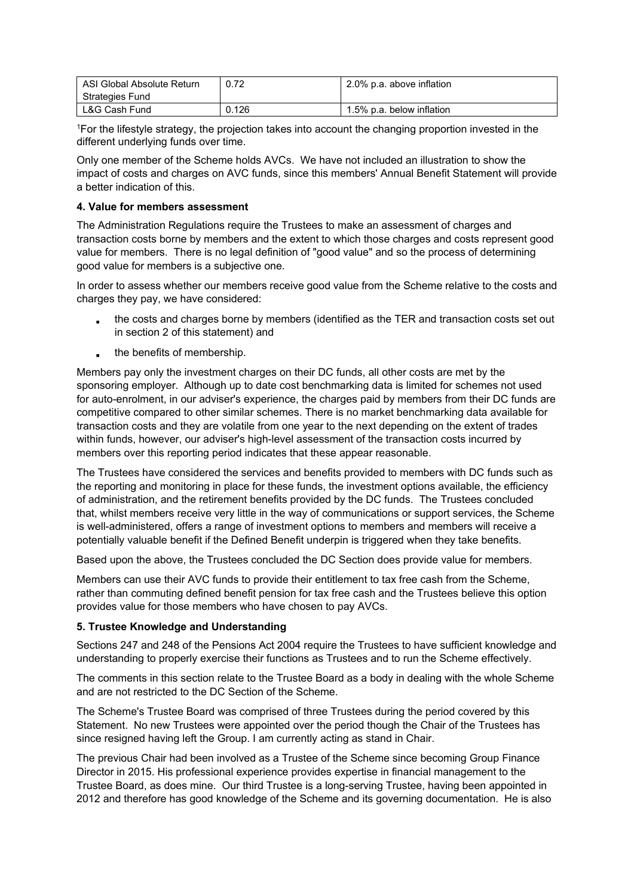| ASI Global Absolute Return | 0.72  | 2.0% p.a. above inflation |
|----------------------------|-------|---------------------------|
| Strategies Fund            |       |                           |
| L&G Cash Fund              | 0.126 | 1.5% p.a. below inflation |

1For the lifestyle strategy, the projection takes into account the changing proportion invested in the different underlying funds over time.

Only one member of the Scheme holds AVCs. We have not included an illustration to show the impact of costs and charges on AVC funds, since this members' Annual Benefit Statement will provide a better indication of this.

### **4. Value for members assessment**

The Administration Regulations require the Trustees to make an assessment of charges and transaction costs borne by members and the extent to which those charges and costs represent good value for members. There is no legal definition of "good value" and so the process of determining good value for members is a subjective one.

In order to assess whether our members receive good value from the Scheme relative to the costs and charges they pay, we have considered:

- the costs and charges borne by members (identified as the TER and transaction costs set out in section 2 of this statement) and
- the benefits of membership.

Members pay only the investment charges on their DC funds, all other costs are met by the sponsoring employer. Although up to date cost benchmarking data is limited for schemes not used for auto-enrolment, in our adviser's experience, the charges paid by members from their DC funds are competitive compared to other similar schemes. There is no market benchmarking data available for transaction costs and they are volatile from one year to the next depending on the extent of trades within funds, however, our adviser's high-level assessment of the transaction costs incurred by members over this reporting period indicates that these appear reasonable.

The Trustees have considered the services and benefits provided to members with DC funds such as the reporting and monitoring in place for these funds, the investment options available, the efficiency of administration, and the retirement benefits provided by the DC funds. The Trustees concluded that, whilst members receive very little in the way of communications or support services, the Scheme is well-administered, offers a range of investment options to members and members will receive a potentially valuable benefit if the Defined Benefit underpin is triggered when they take benefits.

Based upon the above, the Trustees concluded the DC Section does provide value for members.

Members can use their AVC funds to provide their entitlement to tax free cash from the Scheme, rather than commuting defined benefit pension for tax free cash and the Trustees believe this option provides value for those members who have chosen to pay AVCs.

# **5. Trustee Knowledge and Understanding**

Sections 247 and 248 of the Pensions Act 2004 require the Trustees to have sufficient knowledge and understanding to properly exercise their functions as Trustees and to run the Scheme effectively.

The comments in this section relate to the Trustee Board as a body in dealing with the whole Scheme and are not restricted to the DC Section of the Scheme.

The Scheme's Trustee Board was comprised of three Trustees during the period covered by this Statement. No new Trustees were appointed over the period though the Chair of the Trustees has since resigned having left the Group. I am currently acting as stand in Chair.

The previous Chair had been involved as a Trustee of the Scheme since becoming Group Finance Director in 2015. His professional experience provides expertise in financial management to the Trustee Board, as does mine. Our third Trustee is a long-serving Trustee, having been appointed in 2012 and therefore has good knowledge of the Scheme and its governing documentation. He is also